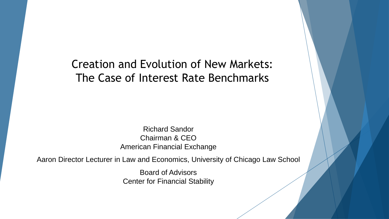#### Creation and Evolution of New Markets: The Case of Interest Rate Benchmarks

Richard Sandor Chairman & CEO American Financial Exchange

Aaron Director Lecturer in Law and Economics, University of Chicago Law School

Board of Advisors Center for Financial Stability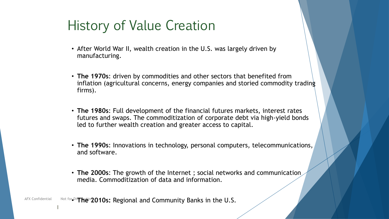### History of Value Creation

- After World War II, wealth creation in the U.S. was largely driven by manufacturing.
- **The 1970s**: driven by commodities and other sectors that benefited from inflation (agricultural concerns, energy companies and storied commodity trading firms).
- **The 1980s**: Full development of the financial futures markets, interest rates futures and swaps. The commoditization of corporate debt via high-yield bonds led to further wealth creation and greater access to capital.
- **The 1990s**: Innovations in technology, personal computers, telecommunications, and software.
- **The 2000s**: The growth of the Internet ; social networks and communication media. Commoditization of data and information.

AFX Confidential Mot for<sub>e</sub>Distribution 2010s: Regional and Community Banks in the U.S.

1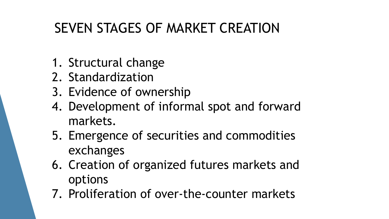## SEVEN STAGES OF MARKET CREATION

- 1. Structural change
- 2. Standardization
- 3. Evidence of ownership
- 4. Development of informal spot and forward markets.
- 5. Emergence of securities and commodities exchanges
- 6. Creation of organized futures markets and options
- 7. Proliferation of over-the-counter markets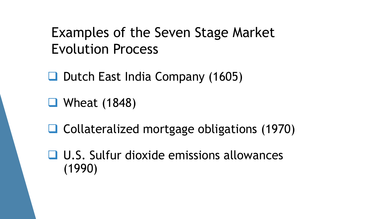### Examples of the Seven Stage Market Evolution Process

 $\Box$  Dutch East India Company (1605)

■ Wheat (1848)

**□ Collateralized mortgage obligations (1970)** 

 U.S. Sulfur dioxide emissions allowances (1990)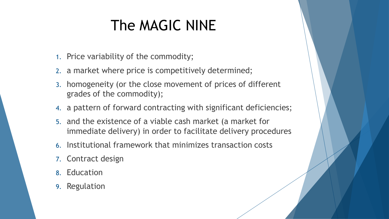# The MAGIC NINE

- 1. Price variability of the commodity;
- 2. a market where price is competitively determined;
- 3. homogeneity (or the close movement of prices of different grades of the commodity);
- 4. a pattern of forward contracting with significant deficiencies;
- 5. and the existence of a viable cash market (a market for immediate delivery) in order to facilitate delivery procedures
- 6. Institutional framework that minimizes transaction costs
- 7. Contract design
- 8. Education
- 9. Regulation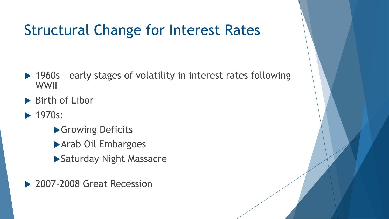# Structural Change for Interest Rates

- ▶ 1960s early stages of volatility in interest rates following WWII
- ▶ Birth of Libor
- $\blacktriangleright$  1970s:
	- **S** Growing Deficits
	- Arab Oil Embargoes
	- ▶ Saturday Night Massacre
- ▶ 2007-2008 Great Recession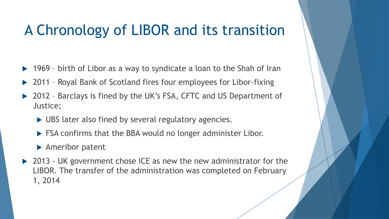# A Chronology of LIBOR and its transition

- ▶ 1969 birth of Libor as a way to syndicate a loan to the Shah of Iran
- ▶ 2011 Royal Bank of Scotland fires four employees for Libor-fixing
- 2012 Barclays is fined by the UK's FSA, CFTC and US Department of Justice;
	- UBS later also fined by several regulatory agencies.
	- **FSA confirms that the BBA would no longer administer Libor.**
	- ▶ Ameribor patent
- ▶ 2013 UK government chose ICE as new the new administrator for the LIBOR. The transfer of the administration was completed on February 1, 2014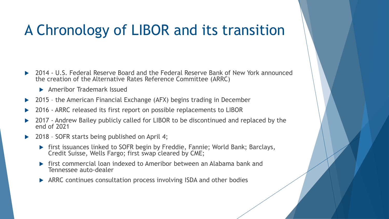# A Chronology of LIBOR and its transition

- ▶ 2014 U.S. Federal Reserve Board and the Federal Reserve Bank of New York announced the creation of the Alternative Rates Reference Committee (ARRC)
	- **Ameribor Trademark Issued**
- 2015 the American Financial Exchange (AFX) begins trading in December
- 2016 ARRC released its first report on possible replacements to LIBOR
- 2017 Andrew Bailey publicly called for LIBOR to be discontinued and replaced by the end of 2021
- 2018 SOFR starts being published on April 4;
	- **First issuances linked to SOFR begin by Freddie, Fannie; World Bank; Barclays,** Credit Suisse, Wells Fargo; first swap cleared by CME;
	- first commercial loan indexed to Ameribor between an Alabama bank and Tennessee auto-dealer
	- ▶ ARRC continues consultation process involving ISDA and other bodies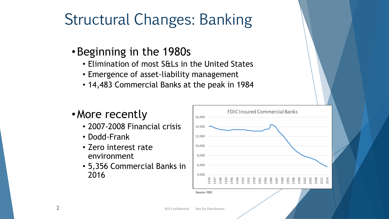# Structural Changes: Banking

#### •Beginning in the 1980s

- Elimination of most S&Ls in the United States
- Emergence of asset-liability management
- 14,483 Commercial Banks at the peak in 1984

#### •More recently

- 2007-2008 Financial crisis
- Dodd-Frank
- Zero interest rate environment
- 5,356 Commercial Banks in 2016

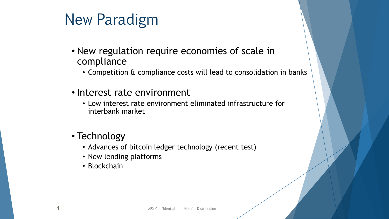# New Paradigm

- New regulation require economies of scale in compliance
	- Competition & compliance costs will lead to consolidation in banks
- Interest rate environment
	- Low interest rate environment eliminated infrastructure for interbank market
- Technology
	- Advances of bitcoin ledger technology (recent test)
	- New lending platforms
	- Blockchain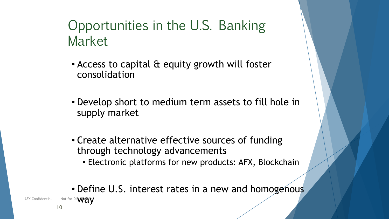### Opportunities in the U.S. Banking Market

- Access to capital & equity growth will foster consolidation
- Develop short to medium term assets to fill hole in supply market
- Create alternative effective sources of funding through technology advancements
	- Electronic platforms for new products: AFX, Blockchain

• Define U.S. interest rates in a new and homogenous

AFX Confidential Mot for Dis ${\mathbf W}{\mathbf A}{\mathbf y}$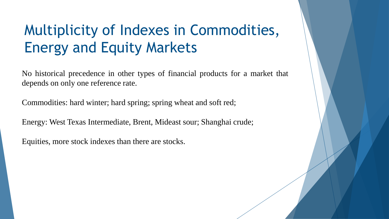# Multiplicity of Indexes in Commodities, Energy and Equity Markets

No historical precedence in other types of financial products for a market that depends on only one reference rate.

Commodities: hard winter; hard spring; spring wheat and soft red;

Energy: West Texas Intermediate, Brent, Mideast sour; Shanghai crude;

Equities, more stock indexes than there are stocks.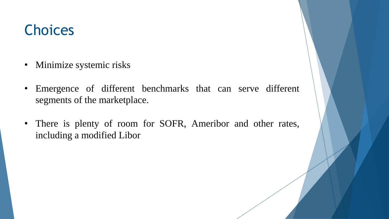## **Choices**

- Minimize systemic risks
- Emergence of different benchmarks that can serve different segments of the marketplace.
- There is plenty of room for SOFR, Ameribor and other rates, including a modified Libor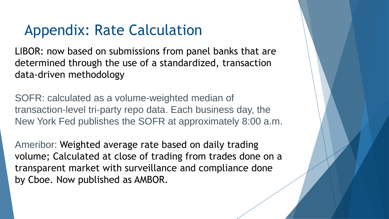# Appendix: Rate Calculation

LIBOR: now based on submissions from panel banks that are determined through the use of a standardized, transaction data-driven methodology

SOFR: calculated as a volume-weighted median of transaction-level tri-party repo data. Each business day, the New York Fed publishes the SOFR at approximately 8:00 a.m.

Ameribor: Weighted average rate based on daily trading volume; Calculated at close of trading from trades done on a transparent market with surveillance and compliance done by Cboe. Now published as AMBOR.